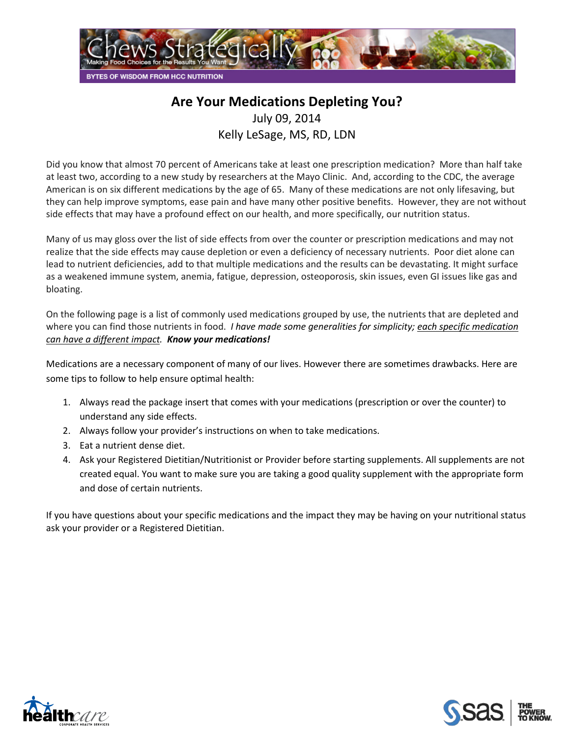

## **Are Your Medications Depleting You?**

July 09, 2014

Kelly LeSage, MS, RD, LDN

Did you know that almost 70 percent of Americans take at least one prescription medication? More than half take at least two, according to a new study by researchers at the Mayo Clinic. And, according to the CDC, the average American is on six different medications by the age of 65. Many of these medications are not only lifesaving, but they can help improve symptoms, ease pain and have many other positive benefits. However, they are not without side effects that may have a profound effect on our health, and more specifically, our nutrition status.

Many of us may gloss over the list of side effects from over the counter or prescription medications and may not realize that the side effects may cause depletion or even a deficiency of necessary nutrients. Poor diet alone can lead to nutrient deficiencies, add to that multiple medications and the results can be devastating. It might surface as a weakened immune system, anemia, fatigue, depression, osteoporosis, skin issues, even GI issues like gas and bloating.

On the following page is a list of commonly used medications grouped by use, the nutrients that are depleted and where you can find those nutrients in food. *I have made some generalities for simplicity; each specific medication can have a different impact. Know your medications!*

Medications are a necessary component of many of our lives. However there are sometimes drawbacks. Here are some tips to follow to help ensure optimal health:

- 1. Always read the package insert that comes with your medications (prescription or over the counter) to understand any side effects.
- 2. Always follow your provider's instructions on when to take medications.
- 3. Eat a nutrient dense diet.
- 4. Ask your Registered Dietitian/Nutritionist or Provider before starting supplements. All supplements are not created equal. You want to make sure you are taking a good quality supplement with the appropriate form and dose of certain nutrients.

If you have questions about your specific medications and the impact they may be having on your nutritional status ask your provider or a Registered Dietitian.